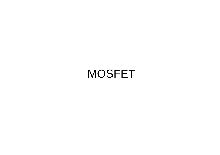#### MOSFET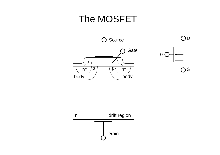#### The MOSFET



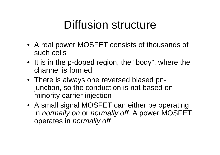# Diffusion structure

- A real power MOSFET consists of thousands of such cells
- It is in the p-doped region, the "body", where the channel is formed
- There is always one reversed biased pnjunction, so the conduction is not based on minority carrier injection
- A small signal MOSFET can either be operating in *normally on* or *normally off.* A power MOSFET operates in *normally off*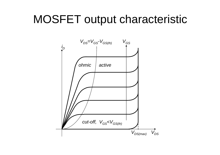## MOSFET output characteristic

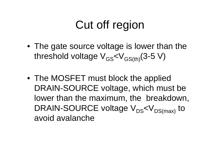# Cut off region

- The gate source voltage is lower than the threshold voltage  $V_{GS} < V_{GS(th)}(3-5 V)$
- The MOSFET must block the applied DRAIN-SOURCE voltage, which must be lower than the maximum, the breakdown, DRAIN-SOURCE voltage  $V_{DS}$ < $V_{DS(max)}$  to avoid avalanche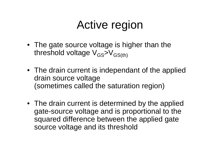# Active region

- The gate source voltage is higher than the threshold voltage  $V_{GS}$ > $V_{GS(th)}$
- The drain current is independant of the applied drain source voltage (sometimes called the saturation region)
- The drain current is determined by the applied gate-source voltage and is proportional to the squared difference between the applied gate source voltage and its threshold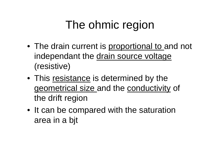# The ohmic region

- The drain current is proportional to and not independant the drain source voltage (resistive)
- This resistance is determined by the geometrical size and the conductivity of the drift region
- It can be compared with the saturation area in a bjt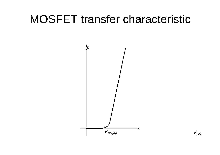## MOSFET transfer characteristic



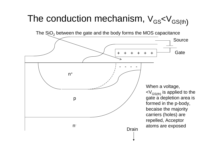# The conduction mechanism,  $\rm V_{GS}<\rm V_{GS(th)}$

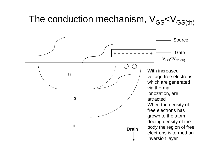#### The conduction mechanism,  $V_{GS}$ < $V_{GS(th)}$

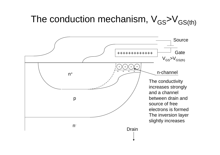#### The conduction mechanism,  $V_{GS} > V_{GS(th)}$

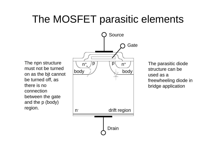## The MOSFET parasitic elements



The parasitic diode structure can be used as a freewheeling diode in bridge application

The npn structure must not be turned on as the bjt cannot be turned off, as there is no connection between the gate and the p (body) region.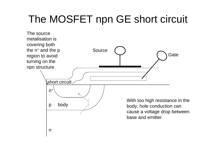## The MOSFET npn GE short circuit

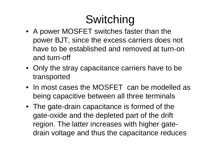# Switching

- A power MOSFET switches faster than the power BJT, since the excess carriers does not have to be established and removed at turn-on and turn-off
- Only the stray capacitance carriers have to be transported
- In most cases the MOSFET can be modelled as being capacitive between all three terminals
- The gate-drain capacitance is formed of the gate-oxide and the depleted part of the drift region. The latter increases with higher gatedrain voltage and thus the capacitance reduces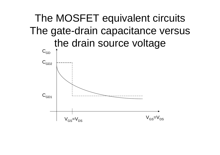## The MOSFET equivalent circuits The gate-drain capacitance versus the drain source voltage

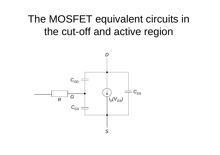### The MOSFET equivalent circuits in the cut-off and active region

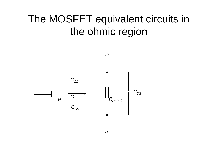### The MOSFET equivalent circuits in the ohmic region

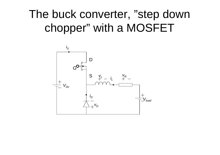# The buck converter, "step down chopper" with a MOSFET

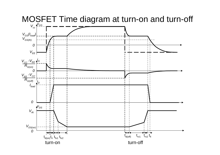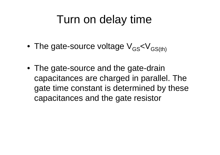## Turn on delay time

- The gate-source voltage  $V_{GS}$ < $V_{GS(th)}$
- The gate-source and the gate-drain capacitances are charged in parallel. The gate time constant is determined by these capacitances and the gate resistor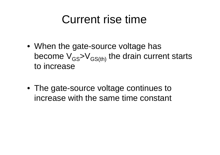## Current rise time

- When the gate-source voltage has become  $V_{GS}$ > $V_{GS(th)}$  the drain current starts to increase
- The gate-source voltage continues to increase with the same time constant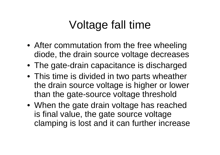# Voltage fall time

- After commutation from the free wheeling diode, the drain source voltage decreases
- The gate-drain capacitance is discharged
- This time is divided in two parts wheather the drain source voltage is higher or lower than the gate-source voltage threshold
- When the gate drain voltage has reached is final value, the gate source voltage clamping is lost and it can further increase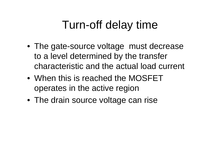# Turn-off delay time

- The gate-source voltage must decrease to a level determined by the transfer characteristic and the actual load current
- When this is reached the MOSFET operates in the active region
- The drain source voltage can rise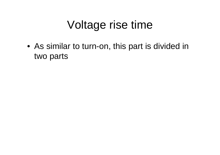# Voltage rise time

• As similar to turn-on, this part is divided in two parts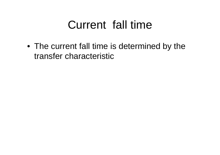# Current fall time

• The current fall time is determined by the transfer characteristic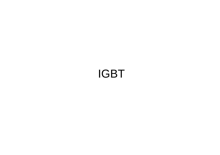### IGBT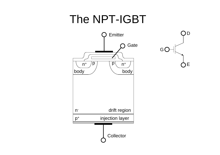# The NPT-IGBT



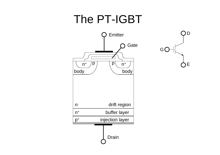# The PT-IGBT



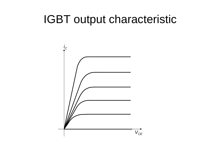### IGBT output characteristic

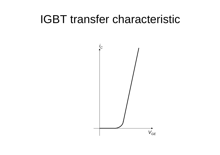## IGBT transfer characteristic

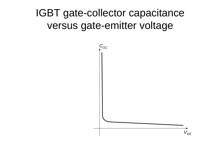### IGBT gate-collector capacitance versus gate-emitter voltage

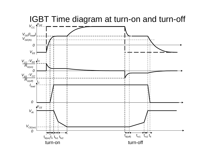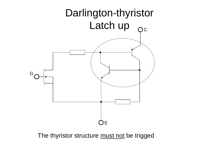

The thyristor structure must not be trigged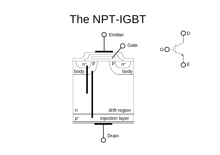# The NPT-IGBT



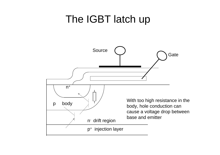#### The IGBT latch up